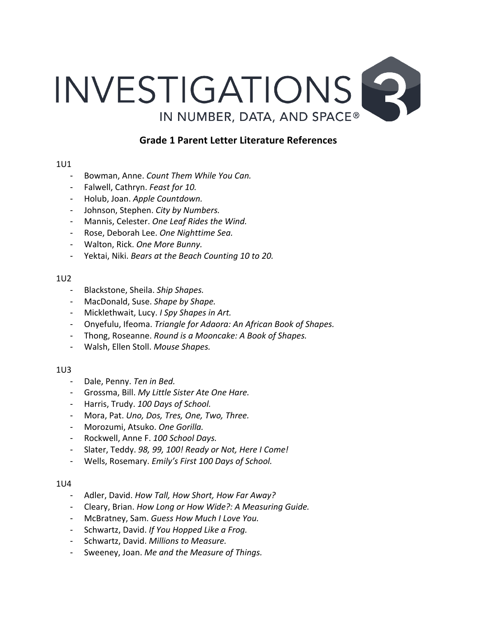

# **Grade 1 Parent Letter Literature References**

#### 1U1

- Bowman, Anne. Count Them While You Can.
- Falwell, Cathryn. Feast for 10.
- Holub, Joan. Apple Countdown.
- Johnson, Stephen. *City by Numbers.*
- Mannis, Celester. One Leaf Rides the Wind.
- Rose, Deborah Lee. One Nighttime Sea.
- Walton, Rick. One More Bunny.
- Yektai, Niki. *Bears at the Beach Counting 10 to 20.*

### 1U2

- Blackstone, Sheila. Ship Shapes.
- MacDonald, Suse. Shape by Shape.
- Micklethwait, Lucy. *I Spy Shapes in Art.*
- Onyefulu, Ifeoma. *Triangle for Adaora: An African Book of Shapes.*
- Thong, Roseanne. *Round is a Mooncake: A Book of Shapes.*
- Walsh, Ellen Stoll. Mouse Shapes.

# 1U3

- Dale, Penny. Ten in Bed.
- Grossma, Bill. My Little Sister Ate One Hare.
- Harris, Trudy. 100 Days of School.
- Mora, Pat. Uno, Dos, Tres, One, Two, Three.
- Morozumi, Atsuko. One Gorilla.
- Rockwell, Anne F. 100 School Days.
- Slater, Teddy. 98, 99, 100! Ready or Not, Here I Come!
- Wells, Rosemary. *Emily's First 100 Days of School.*

# 1U4

- Adler, David. *How Tall, How Short, How Far Away?*
- Cleary, Brian. *How Long or How Wide?: A Measuring Guide.*
- McBratney, Sam. Guess How Much I Love You.
- Schwartz, David. If You Hopped Like a Frog.
- Schwartz, David. Millions to Measure.
- Sweeney, Joan. Me and the Measure of Things.